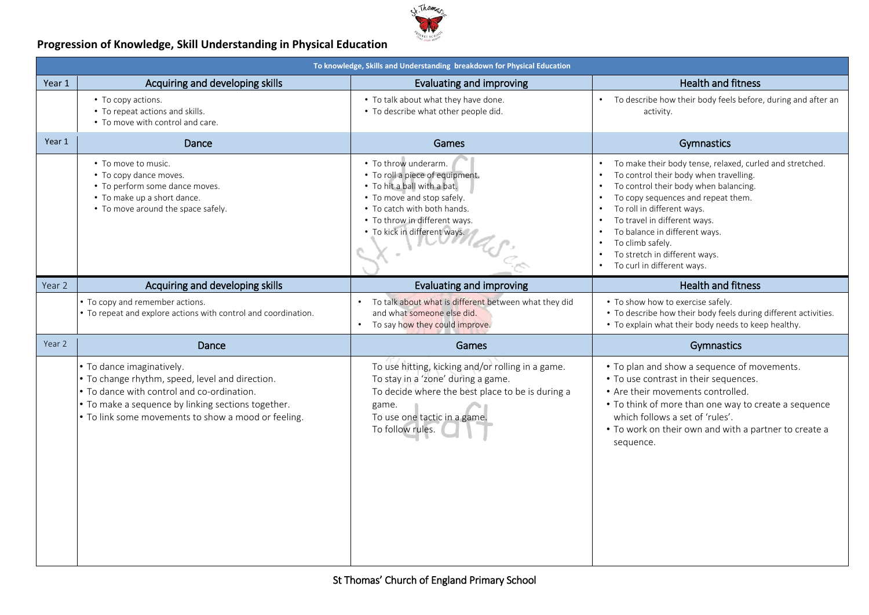

### **Progression of Knowledge, Skill Understanding in Physical Education**

|        | To knowledge, Skills and Understanding breakdown for Physical Education                                                                                                                                                                 |                                                                                                                                                                                                                      |                                                                                                                                                                                                                                                                                                                                                                     |  |  |
|--------|-----------------------------------------------------------------------------------------------------------------------------------------------------------------------------------------------------------------------------------------|----------------------------------------------------------------------------------------------------------------------------------------------------------------------------------------------------------------------|---------------------------------------------------------------------------------------------------------------------------------------------------------------------------------------------------------------------------------------------------------------------------------------------------------------------------------------------------------------------|--|--|
| Year 1 | Acquiring and developing skills                                                                                                                                                                                                         | Evaluating and improving                                                                                                                                                                                             | <b>Health and fitness</b>                                                                                                                                                                                                                                                                                                                                           |  |  |
|        | • To copy actions.<br>• To repeat actions and skills.<br>• To move with control and care.                                                                                                                                               | • To talk about what they have done.<br>• To describe what other people did.                                                                                                                                         | To describe how their body feels before, during and after an<br>activity.                                                                                                                                                                                                                                                                                           |  |  |
| Year 1 | Dance                                                                                                                                                                                                                                   | Games                                                                                                                                                                                                                | Gymnastics                                                                                                                                                                                                                                                                                                                                                          |  |  |
|        | • To move to music.<br>• To copy dance moves.<br>• To perform some dance moves.<br>• To make up a short dance.<br>• To move around the space safely.                                                                                    | • To throw underarm.<br>• To roll a piece of equipment.<br>• To hit a ball with a bat.<br>• To move and stop safely.<br>• To catch with both hands.<br>• To throw in different ways.<br>• To kick in different ways. | To make their body tense, relaxed, curled and stretched.<br>To control their body when travelling.<br>To control their body when balancing.<br>To copy sequences and repeat them.<br>To roll in different ways.<br>To travel in different ways.<br>To balance in different ways.<br>To climb safely.<br>To stretch in different ways.<br>To curl in different ways. |  |  |
| Year 2 | Acquiring and developing skills                                                                                                                                                                                                         | Evaluating and improving                                                                                                                                                                                             | <b>Health and fitness</b>                                                                                                                                                                                                                                                                                                                                           |  |  |
|        | • To copy and remember actions.<br>• To repeat and explore actions with control and coordination.                                                                                                                                       | To talk about what is different between what they did<br>and what someone else did.<br>To say how they could improve.                                                                                                | • To show how to exercise safely.<br>• To describe how their body feels during different activities.<br>• To explain what their body needs to keep healthy.                                                                                                                                                                                                         |  |  |
| Year 2 | Dance                                                                                                                                                                                                                                   | <b>Games</b>                                                                                                                                                                                                         | Gymnastics                                                                                                                                                                                                                                                                                                                                                          |  |  |
|        | • To dance imaginatively.<br>. To change rhythm, speed, level and direction.<br>. To dance with control and co-ordination.<br>. To make a sequence by linking sections together.<br>. To link some movements to show a mood or feeling. | To use hitting, kicking and/or rolling in a game.<br>To stay in a 'zone' during a game.<br>To decide where the best place to be is during a<br>game.<br>To use one tactic in a game.<br>To follow rules.             | • To plan and show a sequence of movements.<br>• To use contrast in their sequences.<br>• Are their movements controlled.<br>• To think of more than one way to create a sequence<br>which follows a set of 'rules'.<br>• To work on their own and with a partner to create a<br>sequence.                                                                          |  |  |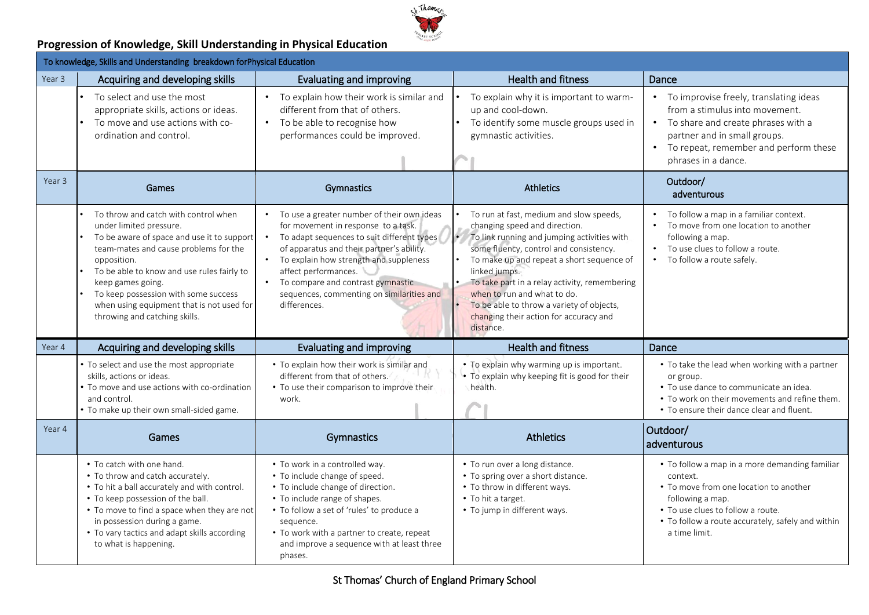

### **Progression of Knowledge, Skill Understanding in Physical Education**

|        | To knowledge, Skills and Understanding breakdown forPhysical Education                                                                                                                                                                                                                                                                                         |                                                                                                                                                                                                                                                                                                                                                                            |                                                                                                                                                                                                                                                                                                                                                                                                                          |                                                                                                                                                                                                                                     |  |
|--------|----------------------------------------------------------------------------------------------------------------------------------------------------------------------------------------------------------------------------------------------------------------------------------------------------------------------------------------------------------------|----------------------------------------------------------------------------------------------------------------------------------------------------------------------------------------------------------------------------------------------------------------------------------------------------------------------------------------------------------------------------|--------------------------------------------------------------------------------------------------------------------------------------------------------------------------------------------------------------------------------------------------------------------------------------------------------------------------------------------------------------------------------------------------------------------------|-------------------------------------------------------------------------------------------------------------------------------------------------------------------------------------------------------------------------------------|--|
| Year 3 | Acquiring and developing skills                                                                                                                                                                                                                                                                                                                                | Evaluating and improving                                                                                                                                                                                                                                                                                                                                                   | <b>Health and fitness</b>                                                                                                                                                                                                                                                                                                                                                                                                | Dance                                                                                                                                                                                                                               |  |
|        | To select and use the most<br>appropriate skills, actions or ideas.<br>To move and use actions with co-<br>ordination and control.                                                                                                                                                                                                                             | To explain how their work is similar and<br>different from that of others.<br>To be able to recognise how<br>$\bullet$<br>performances could be improved.                                                                                                                                                                                                                  | To explain why it is important to warm-<br>up and cool-down.<br>To identify some muscle groups used in<br>gymnastic activities.                                                                                                                                                                                                                                                                                          | To improvise freely, translating ideas<br>$\bullet$<br>from a stimulus into movement.<br>• To share and create phrases with a<br>partner and in small groups.<br>• To repeat, remember and perform these<br>phrases in a dance.     |  |
| Year 3 | Games                                                                                                                                                                                                                                                                                                                                                          | Gymnastics                                                                                                                                                                                                                                                                                                                                                                 | <b>Athletics</b>                                                                                                                                                                                                                                                                                                                                                                                                         | Outdoor/<br>adventurous                                                                                                                                                                                                             |  |
|        | To throw and catch with control when<br>under limited pressure.<br>To be aware of space and use it to support<br>team-mates and cause problems for the<br>opposition.<br>To be able to know and use rules fairly to<br>keep games going.<br>To keep possession with some success<br>when using equipment that is not used for<br>throwing and catching skills. | To use a greater number of their own ideas<br>for movement in response to a task.<br>To adapt sequences to suit different types<br>$\bullet$<br>of apparatus and their partner's ability.<br>To explain how strength and suppleness<br>affect performances.<br>To compare and contrast gymnastic<br>$\bullet$<br>sequences, commenting on similarities and<br>differences. | To run at fast, medium and slow speeds,<br>changing speed and direction.<br>Ŀ<br>To link running and jumping activities with<br>some fluency, control and consistency.<br>To make up and repeat a short sequence of<br>linked jumps.<br>To take part in a relay activity, remembering<br>when to run and what to do.<br>To be able to throw a variety of objects,<br>changing their action for accuracy and<br>distance. | To follow a map in a familiar context.<br>To move from one location to another<br>$\bullet$<br>following a map.<br>To use clues to follow a route.<br>To follow a route safely.                                                     |  |
| Year 4 | Acquiring and developing skills                                                                                                                                                                                                                                                                                                                                | Evaluating and improving                                                                                                                                                                                                                                                                                                                                                   | <b>Health and fitness</b>                                                                                                                                                                                                                                                                                                                                                                                                | Dance                                                                                                                                                                                                                               |  |
|        | • To select and use the most appropriate<br>skills, actions or ideas.<br>. To move and use actions with co-ordination<br>and control.<br>• To make up their own small-sided game.                                                                                                                                                                              | • To explain how their work is similar and<br>different from that of others.<br>• To use their comparison to improve their<br>work.                                                                                                                                                                                                                                        | • To explain why warming up is important.<br>. To explain why keeping fit is good for their<br>health.                                                                                                                                                                                                                                                                                                                   | • To take the lead when working with a partner<br>or group.<br>• To use dance to communicate an idea.<br>• To work on their movements and refine them.<br>• To ensure their dance clear and fluent.                                 |  |
| Year 4 | Games                                                                                                                                                                                                                                                                                                                                                          | Gymnastics                                                                                                                                                                                                                                                                                                                                                                 | <b>Athletics</b>                                                                                                                                                                                                                                                                                                                                                                                                         | Outdoor/<br>adventurous                                                                                                                                                                                                             |  |
|        | • To catch with one hand.<br>• To throw and catch accurately.<br>• To hit a ball accurately and with control.<br>• To keep possession of the ball.<br>• To move to find a space when they are not<br>in possession during a game.<br>• To vary tactics and adapt skills according<br>to what is happening.                                                     | • To work in a controlled way.<br>• To include change of speed.<br>• To include change of direction.<br>• To include range of shapes.<br>• To follow a set of 'rules' to produce a<br>sequence.<br>• To work with a partner to create, repeat<br>and improve a sequence with at least three<br>phases.                                                                     | • To run over a long distance.<br>• To spring over a short distance.<br>• To throw in different ways.<br>• To hit a target.<br>• To jump in different ways.                                                                                                                                                                                                                                                              | • To follow a map in a more demanding familiar<br>context.<br>• To move from one location to another<br>following a map.<br>• To use clues to follow a route.<br>• To follow a route accurately, safely and within<br>a time limit. |  |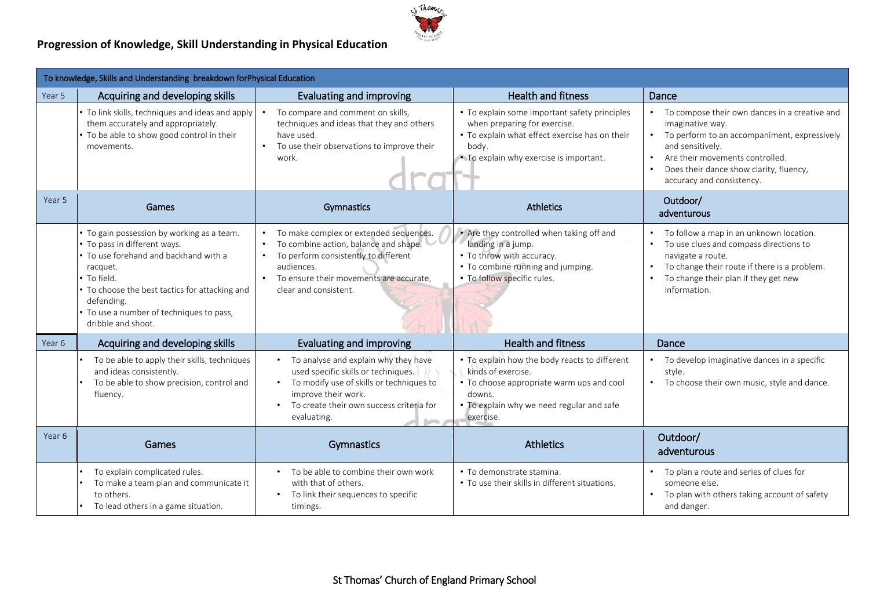

### **Progression of Knowledge, Skill Understanding in Physical Education**

| To knowledge, Skills and Understanding breakdown forPhysical Education |                                                                                                                                                                                                                                                                                  |                                                                                                                                                                                                                                                           |                                                                                                                                                                                     |                                                                                                                                                                                                                                                                            |
|------------------------------------------------------------------------|----------------------------------------------------------------------------------------------------------------------------------------------------------------------------------------------------------------------------------------------------------------------------------|-----------------------------------------------------------------------------------------------------------------------------------------------------------------------------------------------------------------------------------------------------------|-------------------------------------------------------------------------------------------------------------------------------------------------------------------------------------|----------------------------------------------------------------------------------------------------------------------------------------------------------------------------------------------------------------------------------------------------------------------------|
| Year 5                                                                 | Acquiring and developing skills                                                                                                                                                                                                                                                  | Evaluating and improving                                                                                                                                                                                                                                  | <b>Health and fitness</b>                                                                                                                                                           | Dance                                                                                                                                                                                                                                                                      |
|                                                                        | • To link skills, techniques and ideas and apply<br>them accurately and appropriately.<br>. To be able to show good control in their<br>movements.                                                                                                                               | To compare and comment on skills,<br>techniques and ideas that they and others<br>have used.<br>To use their observations to improve their<br>work.                                                                                                       | • To explain some important safety principles<br>when preparing for exercise.<br>• To explain what effect exercise has on their<br>body.<br>• To explain why exercise is important. | To compose their own dances in a creative and<br>imaginative way.<br>To perform to an accompaniment, expressively<br>and sensitively.<br>Are their movements controlled.<br>$\bullet$<br>Does their dance show clarity, fluency,<br>$\bullet$<br>accuracy and consistency. |
| Year 5                                                                 | Games                                                                                                                                                                                                                                                                            | Gymnastics                                                                                                                                                                                                                                                | <b>Athletics</b>                                                                                                                                                                    | Outdoor/<br>adventurous                                                                                                                                                                                                                                                    |
|                                                                        | . To gain possession by working as a team.<br>• To pass in different ways.<br>• To use forehand and backhand with a<br>racquet.<br>• To field.<br>• To choose the best tactics for attacking and<br>defending.<br>• To use a number of techniques to pass,<br>dribble and shoot. | To make complex or extended sequences.<br>To combine action, balance and shape.<br>To perform consistently to different<br>audiences.<br>To ensure their movements are accurate,<br>$\bullet$<br>clear and consistent.                                    | • Are they controlled when taking off and<br>landing in a jump.<br>• To throw with accuracy.<br>• To combine running and jumping.<br>. To follow specific rules.                    | To follow a map in an unknown location.<br>To use clues and compass directions to<br>navigate a route.<br>To change their route if there is a problem.<br>To change their plan if they get new<br>information.                                                             |
| Year 6                                                                 | Acquiring and developing skills                                                                                                                                                                                                                                                  | Evaluating and improving                                                                                                                                                                                                                                  | <b>Health and fitness</b>                                                                                                                                                           | Dance                                                                                                                                                                                                                                                                      |
|                                                                        | To be able to apply their skills, techniques<br>and ideas consistently.<br>To be able to show precision, control and<br>fluency.                                                                                                                                                 | To analyse and explain why they have<br>$\bullet$<br>used specific skills or techniques.<br>$D_1$<br>To modify use of skills or techniques to<br>$\bullet$<br>improve their work.<br>To create their own success criteria for<br>$\bullet$<br>evaluating. | • To explain how the body reacts to different<br>kinds of exercise.<br>• To choose appropriate warm ups and cool<br>downs.<br>To explain why we need regular and safe<br>exercise.  | To develop imaginative dances in a specific<br>style.<br>To choose their own music, style and dance.                                                                                                                                                                       |
| Year 6                                                                 | Games                                                                                                                                                                                                                                                                            | Gymnastics                                                                                                                                                                                                                                                | <b>Athletics</b>                                                                                                                                                                    | Outdoor/<br>adventurous                                                                                                                                                                                                                                                    |
|                                                                        | To explain complicated rules.<br>To make a team plan and communicate it<br>to others.<br>To lead others in a game situation.                                                                                                                                                     | To be able to combine their own work<br>$\bullet$<br>with that of others.<br>To link their sequences to specific<br>$\bullet$<br>timings.                                                                                                                 | · To demonstrate stamina.<br>• To use their skills in different situations.                                                                                                         | To plan a route and series of clues for<br>someone else.<br>To plan with others taking account of safety<br>and danger.                                                                                                                                                    |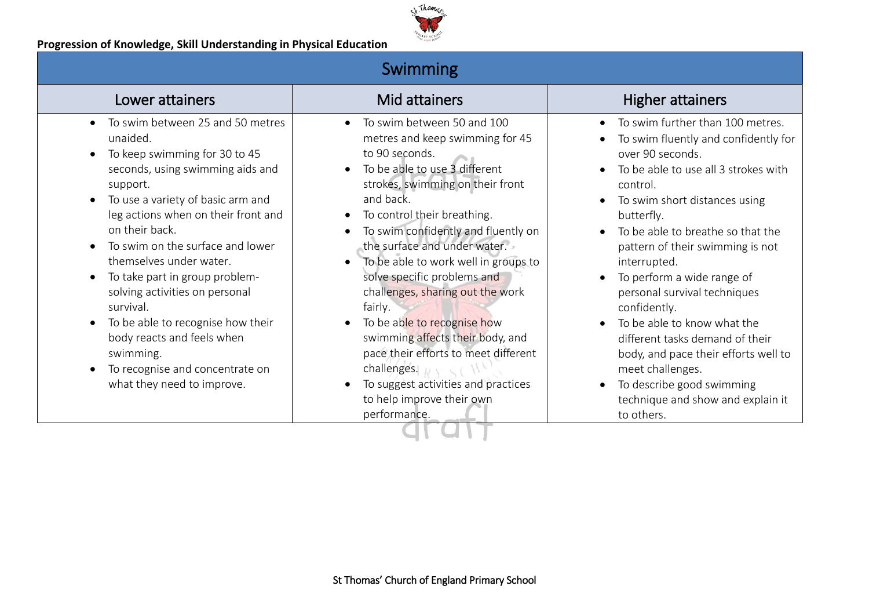

|  |  | <b>Swimming</b> |
|--|--|-----------------|
|  |  |                 |

| Lower attainers                                                                                                                                                                                                                                                                                                                                                                                                                                                                                                              | Mid attainers                                                                                                                                                                                                                                                                                                                                                                                                                                                                                                                                                                                                                         | <b>Higher attainers</b>                                                                                                                                                                                                                                                                                                                                                                                                                                                                                                                                                                                                                               |
|------------------------------------------------------------------------------------------------------------------------------------------------------------------------------------------------------------------------------------------------------------------------------------------------------------------------------------------------------------------------------------------------------------------------------------------------------------------------------------------------------------------------------|---------------------------------------------------------------------------------------------------------------------------------------------------------------------------------------------------------------------------------------------------------------------------------------------------------------------------------------------------------------------------------------------------------------------------------------------------------------------------------------------------------------------------------------------------------------------------------------------------------------------------------------|-------------------------------------------------------------------------------------------------------------------------------------------------------------------------------------------------------------------------------------------------------------------------------------------------------------------------------------------------------------------------------------------------------------------------------------------------------------------------------------------------------------------------------------------------------------------------------------------------------------------------------------------------------|
| To swim between 25 and 50 metres<br>unaided.<br>To keep swimming for 30 to 45<br>seconds, using swimming aids and<br>support.<br>To use a variety of basic arm and<br>leg actions when on their front and<br>on their back.<br>To swim on the surface and lower<br>themselves under water.<br>To take part in group problem-<br>solving activities on personal<br>survival.<br>To be able to recognise how their<br>body reacts and feels when<br>swimming.<br>To recognise and concentrate on<br>what they need to improve. | To swim between 50 and 100<br>metres and keep swimming for 45<br>to 90 seconds.<br>To be able to use 3 different<br>strokes, swimming on their front<br>and back.<br>To control their breathing.<br>$\bullet$<br>To swim confidently and fluently on<br>the surface and under water.<br>To be able to work well in groups to<br>solve specific problems and<br>challenges, sharing out the work<br>fairly.<br>To be able to recognise how<br>$\bullet$<br>swimming affects their body, and<br>pace their efforts to meet different<br>challenges.<br>To suggest activities and practices<br>to help improve their own<br>performance. | To swim further than 100 metres.<br>$\bullet$<br>To swim fluently and confidently for<br>over 90 seconds.<br>To be able to use all 3 strokes with<br>$\bullet$<br>control.<br>To swim short distances using<br>$\bullet$<br>butterfly.<br>To be able to breathe so that the<br>pattern of their swimming is not<br>interrupted.<br>To perform a wide range of<br>$\bullet$<br>personal survival techniques<br>confidently.<br>To be able to know what the<br>different tasks demand of their<br>body, and pace their efforts well to<br>meet challenges.<br>To describe good swimming<br>$\bullet$<br>technique and show and explain it<br>to others. |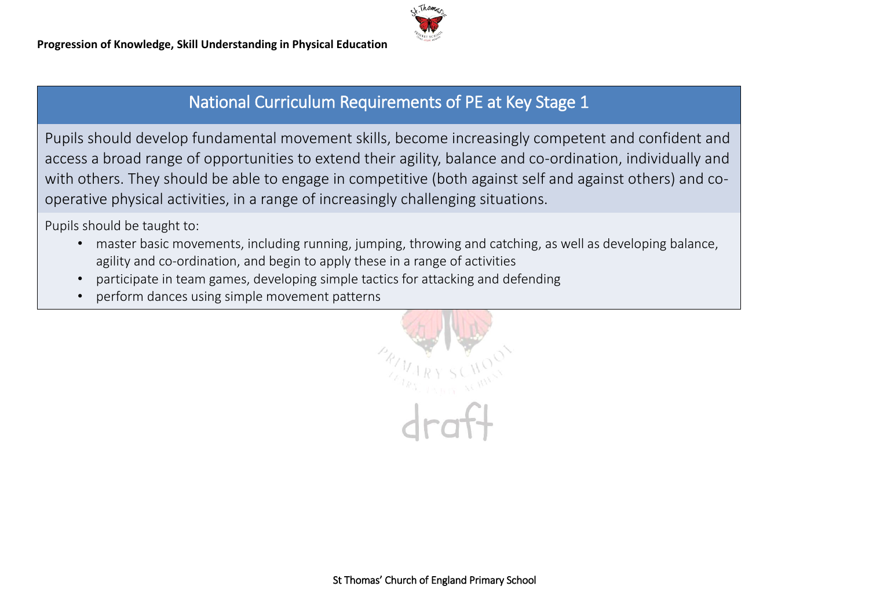

# National Curriculum Requirements of PE at Key Stage 1

Pupils should develop fundamental movement skills, become increasingly competent and confident and access a broad range of opportunities to extend their agility, balance and co-ordination, individually and with others. They should be able to engage in competitive (both against self and against others) and cooperative physical activities, in a range of increasingly challenging situations.

Pupils should be taught to:

- master basic movements, including running, jumping, throwing and catching, as well as developing balance, agility and co-ordination, and begin to apply these in a range of activities
- participate in team games, developing simple tactics for attacking and defending
- perform dances using simple movement patterns